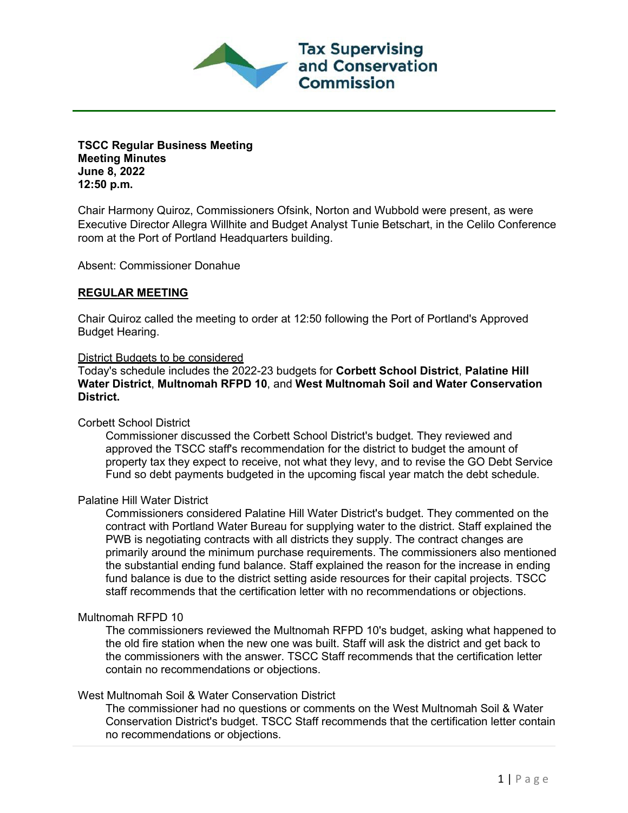

**TSCC Regular Business Meeting Meeting Minutes June 8, 2022 12:50 p.m.**

Chair Harmony Quiroz, Commissioners Ofsink, Norton and Wubbold were present, as were Executive Director Allegra Willhite and Budget Analyst Tunie Betschart, in the Celilo Conference room at the Port of Portland Headquarters building.

Absent: Commissioner Donahue

## **REGULAR MEETING**

Chair Quiroz called the meeting to order at 12:50 following the Port of Portland's Approved Budget Hearing.

#### District Budgets to be considered

Today's schedule includes the 2022-23 budgets for **Corbett School District**, **Palatine Hill Water District**, **Multnomah RFPD 10**, and **West Multnomah Soil and Water Conservation District.** 

### Corbett School District

Commissioner discussed the Corbett School District's budget. They reviewed and approved the TSCC staff's recommendation for the district to budget the amount of property tax they expect to receive, not what they levy, and to revise the GO Debt Service Fund so debt payments budgeted in the upcoming fiscal year match the debt schedule.

### Palatine Hill Water District

Commissioners considered Palatine Hill Water District's budget. They commented on the contract with Portland Water Bureau for supplying water to the district. Staff explained the PWB is negotiating contracts with all districts they supply. The contract changes are primarily around the minimum purchase requirements. The commissioners also mentioned the substantial ending fund balance. Staff explained the reason for the increase in ending fund balance is due to the district setting aside resources for their capital projects. TSCC staff recommends that the certification letter with no recommendations or objections.

### Multnomah RFPD 10

The commissioners reviewed the Multnomah RFPD 10's budget, asking what happened to the old fire station when the new one was built. Staff will ask the district and get back to the commissioners with the answer. TSCC Staff recommends that the certification letter contain no recommendations or objections.

# West Multnomah Soil & Water Conservation District

The commissioner had no questions or comments on the West Multnomah Soil & Water Conservation District's budget. TSCC Staff recommends that the certification letter contain no recommendations or objections.